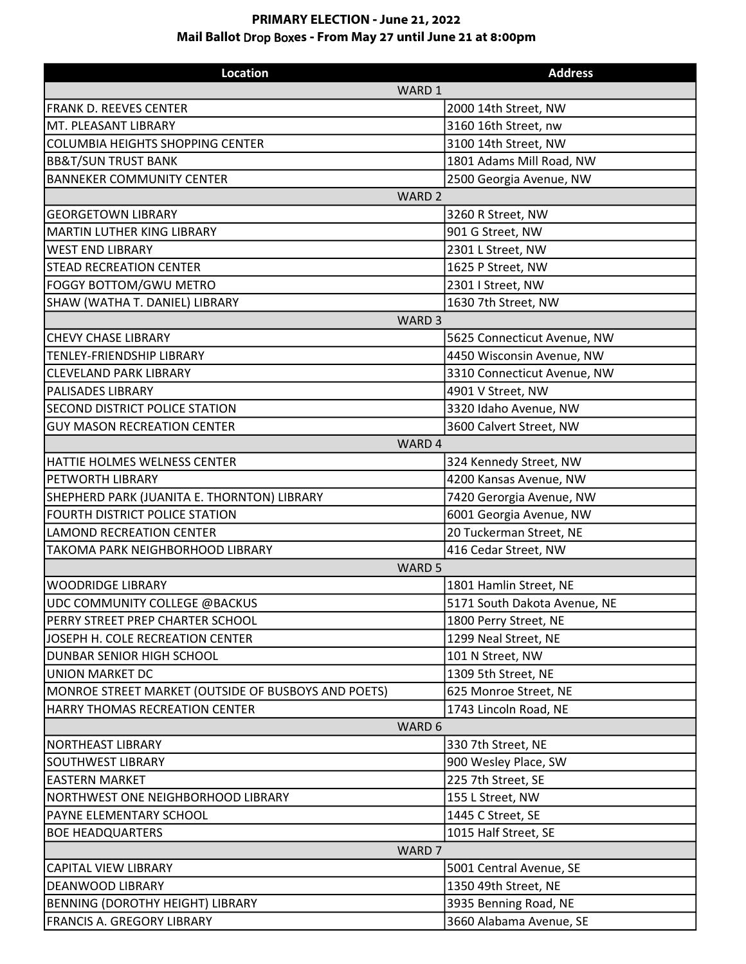## **PRIMARY ELECTION - June 21, 2022 Mail Ballot** D**r**op Box**es - From May 27 until June 21 at 8:00pm**

| <b>Location</b>                                     | <b>Address</b>               |  |
|-----------------------------------------------------|------------------------------|--|
| WARD 1                                              |                              |  |
| FRANK D. REEVES CENTER                              | 2000 14th Street, NW         |  |
| MT. PLEASANT LIBRARY                                | 3160 16th Street, nw         |  |
| <b>COLUMBIA HEIGHTS SHOPPING CENTER</b>             | 3100 14th Street, NW         |  |
| <b>BB&amp;T/SUN TRUST BANK</b>                      | 1801 Adams Mill Road, NW     |  |
| <b>BANNEKER COMMUNITY CENTER</b>                    | 2500 Georgia Avenue, NW      |  |
| WARD <sub>2</sub>                                   |                              |  |
| <b>GEORGETOWN LIBRARY</b>                           | 3260 R Street, NW            |  |
| MARTIN LUTHER KING LIBRARY                          | 901 G Street, NW             |  |
| <b>WEST END LIBRARY</b>                             | 2301 L Street, NW            |  |
| <b>STEAD RECREATION CENTER</b>                      | 1625 P Street, NW            |  |
| FOGGY BOTTOM/GWU METRO                              | 2301   Street, NW            |  |
| SHAW (WATHA T. DANIEL) LIBRARY                      | 1630 7th Street, NW          |  |
|                                                     | WARD <sub>3</sub>            |  |
| <b>CHEVY CHASE LIBRARY</b>                          | 5625 Connecticut Avenue, NW  |  |
| TENLEY-FRIENDSHIP LIBRARY                           | 4450 Wisconsin Avenue, NW    |  |
| <b>CLEVELAND PARK LIBRARY</b>                       | 3310 Connecticut Avenue, NW  |  |
| <b>PALISADES LIBRARY</b>                            | 4901 V Street, NW            |  |
| <b>SECOND DISTRICT POLICE STATION</b>               | 3320 Idaho Avenue, NW        |  |
| <b>GUY MASON RECREATION CENTER</b>                  | 3600 Calvert Street, NW      |  |
| WARD 4                                              |                              |  |
| HATTIE HOLMES WELNESS CENTER                        | 324 Kennedy Street, NW       |  |
| PETWORTH LIBRARY                                    | 4200 Kansas Avenue, NW       |  |
| SHEPHERD PARK (JUANITA E. THORNTON) LIBRARY         | 7420 Gerorgia Avenue, NW     |  |
| <b>FOURTH DISTRICT POLICE STATION</b>               | 6001 Georgia Avenue, NW      |  |
| <b>LAMOND RECREATION CENTER</b>                     | 20 Tuckerman Street, NE      |  |
| <b>TAKOMA PARK NEIGHBORHOOD LIBRARY</b>             | 416 Cedar Street, NW         |  |
| WARD <sub>5</sub>                                   |                              |  |
| WOODRIDGE LIBRARY                                   | 1801 Hamlin Street, NE       |  |
| UDC COMMUNITY COLLEGE @BACKUS                       | 5171 South Dakota Avenue, NE |  |
| PERRY STREET PREP CHARTER SCHOOL                    | 1800 Perry Street, NE        |  |
| JOSEPH H. COLE RECREATION CENTER                    | 1299 Neal Street, NE         |  |
| DUNBAR SENIOR HIGH SCHOOL                           | 101 N Street, NW             |  |
| <b>UNION MARKET DC</b>                              | 1309 5th Street, NE          |  |
| MONROE STREET MARKET (OUTSIDE OF BUSBOYS AND POETS) | 625 Monroe Street, NE        |  |
| HARRY THOMAS RECREATION CENTER                      | 1743 Lincoln Road, NE        |  |
| WARD 6                                              |                              |  |
| NORTHEAST LIBRARY                                   | 330 7th Street, NE           |  |
| <b>SOUTHWEST LIBRARY</b>                            | 900 Wesley Place, SW         |  |
| <b>EASTERN MARKET</b>                               | 225 7th Street, SE           |  |
| NORTHWEST ONE NEIGHBORHOOD LIBRARY                  | 155 L Street, NW             |  |
| PAYNE ELEMENTARY SCHOOL                             | 1445 C Street, SE            |  |
| <b>BOE HEADQUARTERS</b>                             | 1015 Half Street, SE         |  |
| WARD <sub>7</sub>                                   |                              |  |
| <b>CAPITAL VIEW LIBRARY</b>                         | 5001 Central Avenue, SE      |  |
| <b>DEANWOOD LIBRARY</b>                             | 1350 49th Street, NE         |  |
| BENNING (DOROTHY HEIGHT) LIBRARY                    | 3935 Benning Road, NE        |  |
| <b>FRANCIS A. GREGORY LIBRARY</b>                   | 3660 Alabama Avenue, SE      |  |